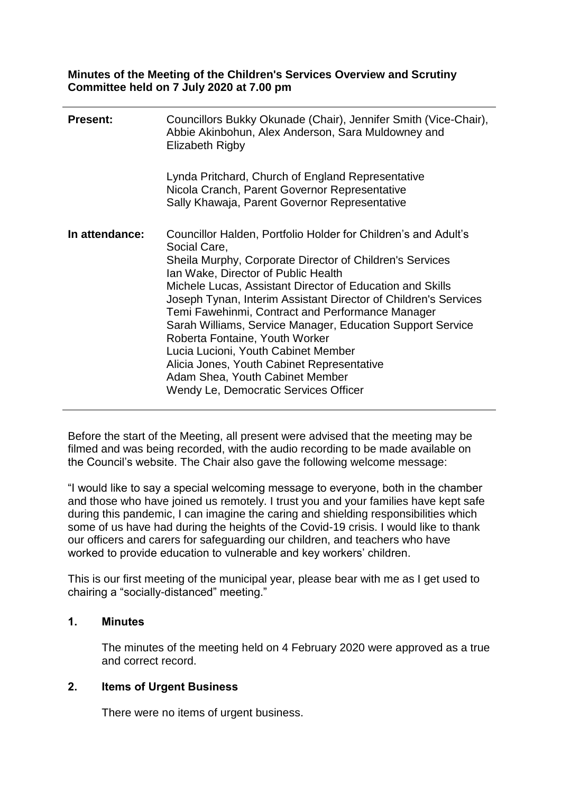**Minutes of the Meeting of the Children's Services Overview and Scrutiny Committee held on 7 July 2020 at 7.00 pm**

| <b>Present:</b> | Councillors Bukky Okunade (Chair), Jennifer Smith (Vice-Chair),<br>Abbie Akinbohun, Alex Anderson, Sara Muldowney and<br>Elizabeth Rigby                                                                                                                                                                                                                                                                                                                                                                                                                                                                                               |
|-----------------|----------------------------------------------------------------------------------------------------------------------------------------------------------------------------------------------------------------------------------------------------------------------------------------------------------------------------------------------------------------------------------------------------------------------------------------------------------------------------------------------------------------------------------------------------------------------------------------------------------------------------------------|
|                 | Lynda Pritchard, Church of England Representative<br>Nicola Cranch, Parent Governor Representative<br>Sally Khawaja, Parent Governor Representative                                                                                                                                                                                                                                                                                                                                                                                                                                                                                    |
| In attendance:  | Councillor Halden, Portfolio Holder for Children's and Adult's<br>Social Care,<br>Sheila Murphy, Corporate Director of Children's Services<br>Ian Wake, Director of Public Health<br>Michele Lucas, Assistant Director of Education and Skills<br>Joseph Tynan, Interim Assistant Director of Children's Services<br>Temi Fawehinmi, Contract and Performance Manager<br>Sarah Williams, Service Manager, Education Support Service<br>Roberta Fontaine, Youth Worker<br>Lucia Lucioni, Youth Cabinet Member<br>Alicia Jones, Youth Cabinet Representative<br>Adam Shea, Youth Cabinet Member<br>Wendy Le, Democratic Services Officer |

Before the start of the Meeting, all present were advised that the meeting may be filmed and was being recorded, with the audio recording to be made available on the Council's website. The Chair also gave the following welcome message:

"I would like to say a special welcoming message to everyone, both in the chamber and those who have joined us remotely. I trust you and your families have kept safe during this pandemic, I can imagine the caring and shielding responsibilities which some of us have had during the heights of the Covid-19 crisis. I would like to thank our officers and carers for safeguarding our children, and teachers who have worked to provide education to vulnerable and key workers' children.

This is our first meeting of the municipal year, please bear with me as I get used to chairing a "socially-distanced" meeting."

#### **1. Minutes**

The minutes of the meeting held on 4 February 2020 were approved as a true and correct record.

## **2. Items of Urgent Business**

There were no items of urgent business.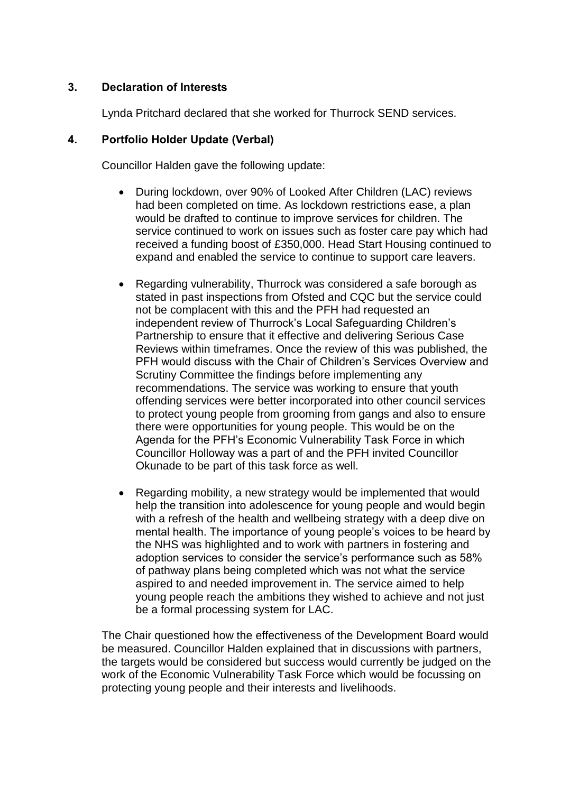## **3. Declaration of Interests**

Lynda Pritchard declared that she worked for Thurrock SEND services.

## **4. Portfolio Holder Update (Verbal)**

Councillor Halden gave the following update:

- During lockdown, over 90% of Looked After Children (LAC) reviews had been completed on time. As lockdown restrictions ease, a plan would be drafted to continue to improve services for children. The service continued to work on issues such as foster care pay which had received a funding boost of £350,000. Head Start Housing continued to expand and enabled the service to continue to support care leavers.
- Regarding vulnerability, Thurrock was considered a safe borough as stated in past inspections from Ofsted and CQC but the service could not be complacent with this and the PFH had requested an independent review of Thurrock's Local Safeguarding Children's Partnership to ensure that it effective and delivering Serious Case Reviews within timeframes. Once the review of this was published, the PFH would discuss with the Chair of Children's Services Overview and Scrutiny Committee the findings before implementing any recommendations. The service was working to ensure that youth offending services were better incorporated into other council services to protect young people from grooming from gangs and also to ensure there were opportunities for young people. This would be on the Agenda for the PFH's Economic Vulnerability Task Force in which Councillor Holloway was a part of and the PFH invited Councillor Okunade to be part of this task force as well.
- Regarding mobility, a new strategy would be implemented that would help the transition into adolescence for young people and would begin with a refresh of the health and wellbeing strategy with a deep dive on mental health. The importance of young people's voices to be heard by the NHS was highlighted and to work with partners in fostering and adoption services to consider the service's performance such as 58% of pathway plans being completed which was not what the service aspired to and needed improvement in. The service aimed to help young people reach the ambitions they wished to achieve and not just be a formal processing system for LAC.

The Chair questioned how the effectiveness of the Development Board would be measured. Councillor Halden explained that in discussions with partners, the targets would be considered but success would currently be judged on the work of the Economic Vulnerability Task Force which would be focussing on protecting young people and their interests and livelihoods.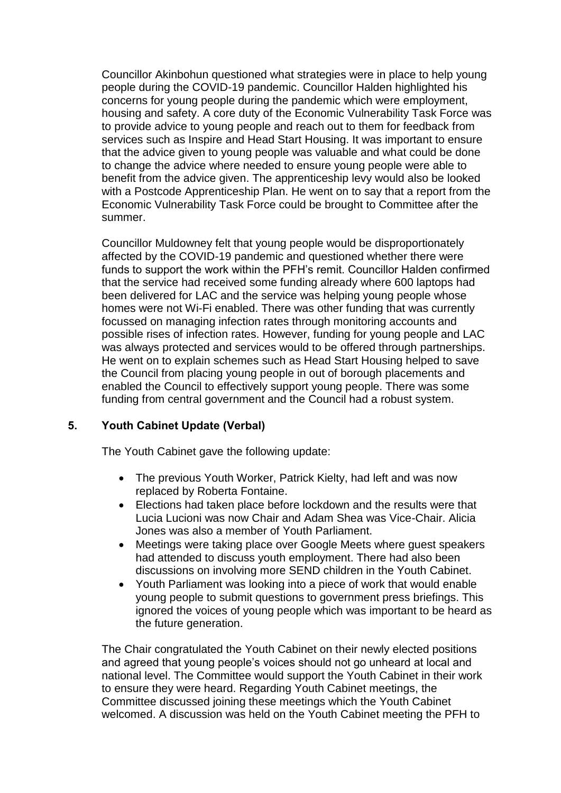Councillor Akinbohun questioned what strategies were in place to help young people during the COVID-19 pandemic. Councillor Halden highlighted his concerns for young people during the pandemic which were employment, housing and safety. A core duty of the Economic Vulnerability Task Force was to provide advice to young people and reach out to them for feedback from services such as Inspire and Head Start Housing. It was important to ensure that the advice given to young people was valuable and what could be done to change the advice where needed to ensure young people were able to benefit from the advice given. The apprenticeship levy would also be looked with a Postcode Apprenticeship Plan. He went on to say that a report from the Economic Vulnerability Task Force could be brought to Committee after the summer.

Councillor Muldowney felt that young people would be disproportionately affected by the COVID-19 pandemic and questioned whether there were funds to support the work within the PFH's remit. Councillor Halden confirmed that the service had received some funding already where 600 laptops had been delivered for LAC and the service was helping young people whose homes were not Wi-Fi enabled. There was other funding that was currently focussed on managing infection rates through monitoring accounts and possible rises of infection rates. However, funding for young people and LAC was always protected and services would to be offered through partnerships. He went on to explain schemes such as Head Start Housing helped to save the Council from placing young people in out of borough placements and enabled the Council to effectively support young people. There was some funding from central government and the Council had a robust system.

# **5. Youth Cabinet Update (Verbal)**

The Youth Cabinet gave the following update:

- The previous Youth Worker, Patrick Kielty, had left and was now replaced by Roberta Fontaine.
- Elections had taken place before lockdown and the results were that Lucia Lucioni was now Chair and Adam Shea was Vice-Chair. Alicia Jones was also a member of Youth Parliament.
- Meetings were taking place over Google Meets where guest speakers had attended to discuss youth employment. There had also been discussions on involving more SEND children in the Youth Cabinet.
- Youth Parliament was looking into a piece of work that would enable young people to submit questions to government press briefings. This ignored the voices of young people which was important to be heard as the future generation.

The Chair congratulated the Youth Cabinet on their newly elected positions and agreed that young people's voices should not go unheard at local and national level. The Committee would support the Youth Cabinet in their work to ensure they were heard. Regarding Youth Cabinet meetings, the Committee discussed joining these meetings which the Youth Cabinet welcomed. A discussion was held on the Youth Cabinet meeting the PFH to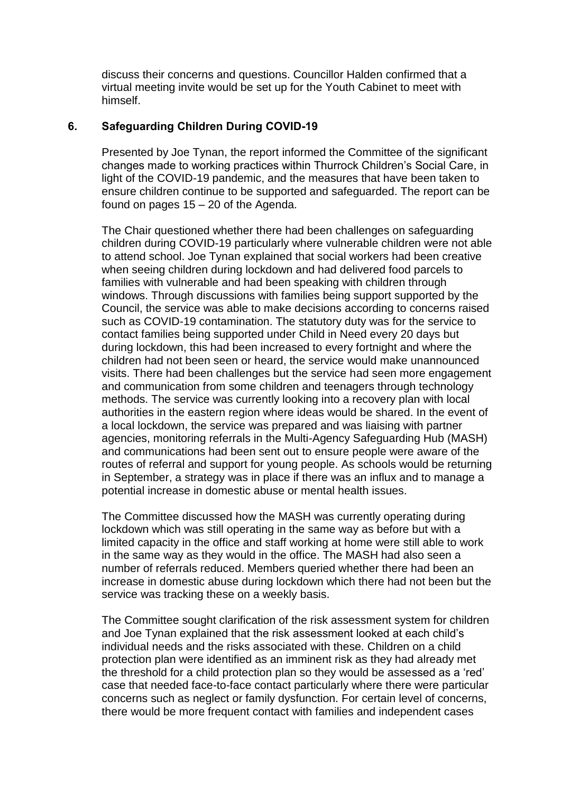discuss their concerns and questions. Councillor Halden confirmed that a virtual meeting invite would be set up for the Youth Cabinet to meet with himself.

### **6. Safeguarding Children During COVID-19**

Presented by Joe Tynan, the report informed the Committee of the significant changes made to working practices within Thurrock Children's Social Care, in light of the COVID-19 pandemic, and the measures that have been taken to ensure children continue to be supported and safeguarded. The report can be found on pages  $15 - 20$  of the Agenda.

The Chair questioned whether there had been challenges on safeguarding children during COVID-19 particularly where vulnerable children were not able to attend school. Joe Tynan explained that social workers had been creative when seeing children during lockdown and had delivered food parcels to families with vulnerable and had been speaking with children through windows. Through discussions with families being support supported by the Council, the service was able to make decisions according to concerns raised such as COVID-19 contamination. The statutory duty was for the service to contact families being supported under Child in Need every 20 days but during lockdown, this had been increased to every fortnight and where the children had not been seen or heard, the service would make unannounced visits. There had been challenges but the service had seen more engagement and communication from some children and teenagers through technology methods. The service was currently looking into a recovery plan with local authorities in the eastern region where ideas would be shared. In the event of a local lockdown, the service was prepared and was liaising with partner agencies, monitoring referrals in the Multi-Agency Safeguarding Hub (MASH) and communications had been sent out to ensure people were aware of the routes of referral and support for young people. As schools would be returning in September, a strategy was in place if there was an influx and to manage a potential increase in domestic abuse or mental health issues.

The Committee discussed how the MASH was currently operating during lockdown which was still operating in the same way as before but with a limited capacity in the office and staff working at home were still able to work in the same way as they would in the office. The MASH had also seen a number of referrals reduced. Members queried whether there had been an increase in domestic abuse during lockdown which there had not been but the service was tracking these on a weekly basis.

The Committee sought clarification of the risk assessment system for children and Joe Tynan explained that the risk assessment looked at each child's individual needs and the risks associated with these. Children on a child protection plan were identified as an imminent risk as they had already met the threshold for a child protection plan so they would be assessed as a 'red' case that needed face-to-face contact particularly where there were particular concerns such as neglect or family dysfunction. For certain level of concerns, there would be more frequent contact with families and independent cases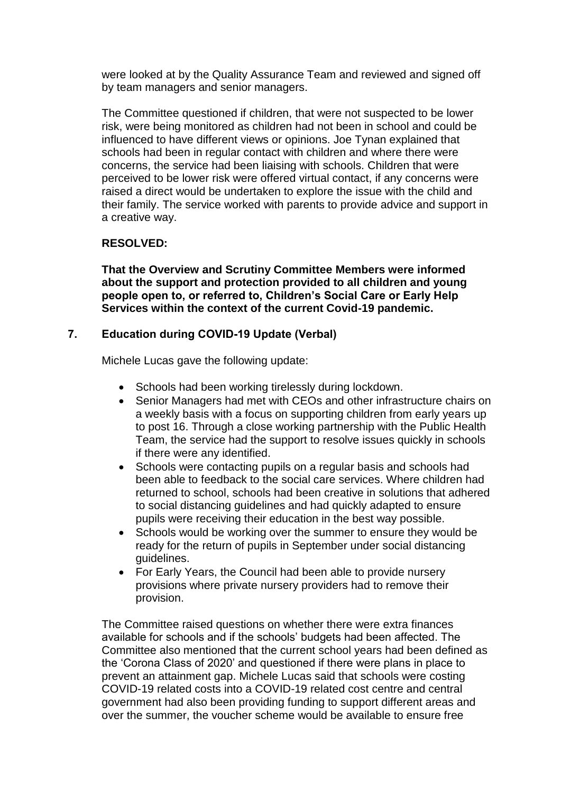were looked at by the Quality Assurance Team and reviewed and signed off by team managers and senior managers.

The Committee questioned if children, that were not suspected to be lower risk, were being monitored as children had not been in school and could be influenced to have different views or opinions. Joe Tynan explained that schools had been in regular contact with children and where there were concerns, the service had been liaising with schools. Children that were perceived to be lower risk were offered virtual contact, if any concerns were raised a direct would be undertaken to explore the issue with the child and their family. The service worked with parents to provide advice and support in a creative way.

## **RESOLVED:**

**That the Overview and Scrutiny Committee Members were informed about the support and protection provided to all children and young people open to, or referred to, Children's Social Care or Early Help Services within the context of the current Covid-19 pandemic.**

## **7. Education during COVID-19 Update (Verbal)**

Michele Lucas gave the following update:

- Schools had been working tirelessly during lockdown.
- Senior Managers had met with CEOs and other infrastructure chairs on a weekly basis with a focus on supporting children from early years up to post 16. Through a close working partnership with the Public Health Team, the service had the support to resolve issues quickly in schools if there were any identified.
- Schools were contacting pupils on a regular basis and schools had been able to feedback to the social care services. Where children had returned to school, schools had been creative in solutions that adhered to social distancing guidelines and had quickly adapted to ensure pupils were receiving their education in the best way possible.
- Schools would be working over the summer to ensure they would be ready for the return of pupils in September under social distancing guidelines.
- For Early Years, the Council had been able to provide nursery provisions where private nursery providers had to remove their provision.

The Committee raised questions on whether there were extra finances available for schools and if the schools' budgets had been affected. The Committee also mentioned that the current school years had been defined as the 'Corona Class of 2020' and questioned if there were plans in place to prevent an attainment gap. Michele Lucas said that schools were costing COVID-19 related costs into a COVID-19 related cost centre and central government had also been providing funding to support different areas and over the summer, the voucher scheme would be available to ensure free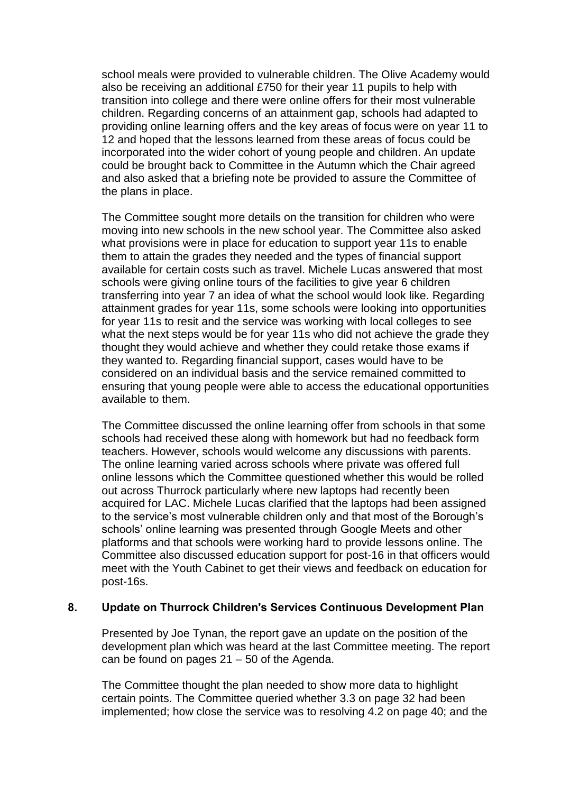school meals were provided to vulnerable children. The Olive Academy would also be receiving an additional £750 for their year 11 pupils to help with transition into college and there were online offers for their most vulnerable children. Regarding concerns of an attainment gap, schools had adapted to providing online learning offers and the key areas of focus were on year 11 to 12 and hoped that the lessons learned from these areas of focus could be incorporated into the wider cohort of young people and children. An update could be brought back to Committee in the Autumn which the Chair agreed and also asked that a briefing note be provided to assure the Committee of the plans in place.

The Committee sought more details on the transition for children who were moving into new schools in the new school year. The Committee also asked what provisions were in place for education to support year 11s to enable them to attain the grades they needed and the types of financial support available for certain costs such as travel. Michele Lucas answered that most schools were giving online tours of the facilities to give year 6 children transferring into year 7 an idea of what the school would look like. Regarding attainment grades for year 11s, some schools were looking into opportunities for year 11s to resit and the service was working with local colleges to see what the next steps would be for year 11s who did not achieve the grade they thought they would achieve and whether they could retake those exams if they wanted to. Regarding financial support, cases would have to be considered on an individual basis and the service remained committed to ensuring that young people were able to access the educational opportunities available to them.

The Committee discussed the online learning offer from schools in that some schools had received these along with homework but had no feedback form teachers. However, schools would welcome any discussions with parents. The online learning varied across schools where private was offered full online lessons which the Committee questioned whether this would be rolled out across Thurrock particularly where new laptops had recently been acquired for LAC. Michele Lucas clarified that the laptops had been assigned to the service's most vulnerable children only and that most of the Borough's schools' online learning was presented through Google Meets and other platforms and that schools were working hard to provide lessons online. The Committee also discussed education support for post-16 in that officers would meet with the Youth Cabinet to get their views and feedback on education for post-16s.

## **8. Update on Thurrock Children's Services Continuous Development Plan**

Presented by Joe Tynan, the report gave an update on the position of the development plan which was heard at the last Committee meeting. The report can be found on pages 21 – 50 of the Agenda.

The Committee thought the plan needed to show more data to highlight certain points. The Committee queried whether 3.3 on page 32 had been implemented; how close the service was to resolving 4.2 on page 40; and the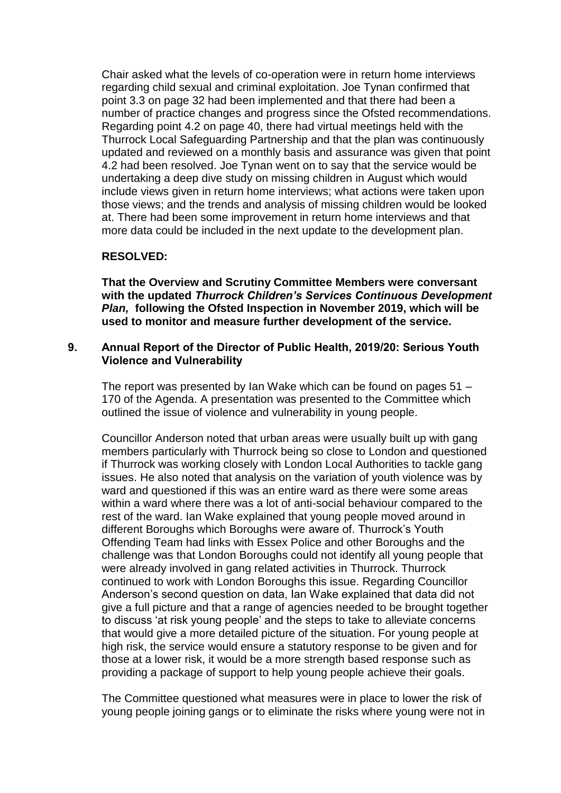Chair asked what the levels of co-operation were in return home interviews regarding child sexual and criminal exploitation. Joe Tynan confirmed that point 3.3 on page 32 had been implemented and that there had been a number of practice changes and progress since the Ofsted recommendations. Regarding point 4.2 on page 40, there had virtual meetings held with the Thurrock Local Safeguarding Partnership and that the plan was continuously updated and reviewed on a monthly basis and assurance was given that point 4.2 had been resolved. Joe Tynan went on to say that the service would be undertaking a deep dive study on missing children in August which would include views given in return home interviews; what actions were taken upon those views; and the trends and analysis of missing children would be looked at. There had been some improvement in return home interviews and that more data could be included in the next update to the development plan.

#### **RESOLVED:**

**That the Overview and Scrutiny Committee Members were conversant with the updated** *Thurrock Children's Services Continuous Development Plan,* **following the Ofsted Inspection in November 2019, which will be used to monitor and measure further development of the service.**

#### **9. Annual Report of the Director of Public Health, 2019/20: Serious Youth Violence and Vulnerability**

The report was presented by Ian Wake which can be found on pages 51 – 170 of the Agenda. A presentation was presented to the Committee which outlined the issue of violence and vulnerability in young people.

Councillor Anderson noted that urban areas were usually built up with gang members particularly with Thurrock being so close to London and questioned if Thurrock was working closely with London Local Authorities to tackle gang issues. He also noted that analysis on the variation of youth violence was by ward and questioned if this was an entire ward as there were some areas within a ward where there was a lot of anti-social behaviour compared to the rest of the ward. Ian Wake explained that young people moved around in different Boroughs which Boroughs were aware of. Thurrock's Youth Offending Team had links with Essex Police and other Boroughs and the challenge was that London Boroughs could not identify all young people that were already involved in gang related activities in Thurrock. Thurrock continued to work with London Boroughs this issue. Regarding Councillor Anderson's second question on data, Ian Wake explained that data did not give a full picture and that a range of agencies needed to be brought together to discuss 'at risk young people' and the steps to take to alleviate concerns that would give a more detailed picture of the situation. For young people at high risk, the service would ensure a statutory response to be given and for those at a lower risk, it would be a more strength based response such as providing a package of support to help young people achieve their goals.

The Committee questioned what measures were in place to lower the risk of young people joining gangs or to eliminate the risks where young were not in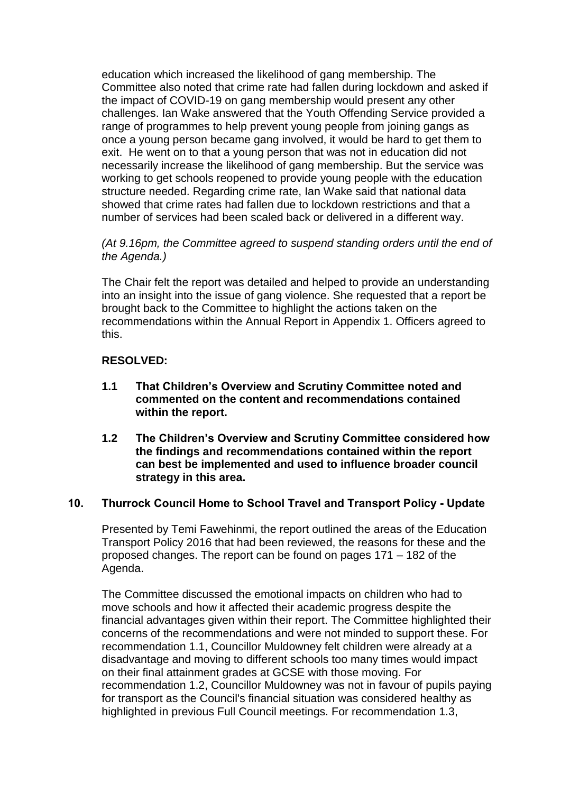education which increased the likelihood of gang membership. The Committee also noted that crime rate had fallen during lockdown and asked if the impact of COVID-19 on gang membership would present any other challenges. Ian Wake answered that the Youth Offending Service provided a range of programmes to help prevent young people from joining gangs as once a young person became gang involved, it would be hard to get them to exit. He went on to that a young person that was not in education did not necessarily increase the likelihood of gang membership. But the service was working to get schools reopened to provide young people with the education structure needed. Regarding crime rate, Ian Wake said that national data showed that crime rates had fallen due to lockdown restrictions and that a number of services had been scaled back or delivered in a different way.

## *(At 9.16pm, the Committee agreed to suspend standing orders until the end of the Agenda.)*

The Chair felt the report was detailed and helped to provide an understanding into an insight into the issue of gang violence. She requested that a report be brought back to the Committee to highlight the actions taken on the recommendations within the Annual Report in Appendix 1. Officers agreed to this.

## **RESOLVED:**

- **1.1 That Children's Overview and Scrutiny Committee noted and commented on the content and recommendations contained within the report.**
- **1.2 The Children's Overview and Scrutiny Committee considered how the findings and recommendations contained within the report can best be implemented and used to influence broader council strategy in this area.**

# **10. Thurrock Council Home to School Travel and Transport Policy - Update**

Presented by Temi Fawehinmi, the report outlined the areas of the Education Transport Policy 2016 that had been reviewed, the reasons for these and the proposed changes. The report can be found on pages 171 – 182 of the Agenda.

The Committee discussed the emotional impacts on children who had to move schools and how it affected their academic progress despite the financial advantages given within their report. The Committee highlighted their concerns of the recommendations and were not minded to support these. For recommendation 1.1, Councillor Muldowney felt children were already at a disadvantage and moving to different schools too many times would impact on their final attainment grades at GCSE with those moving. For recommendation 1.2, Councillor Muldowney was not in favour of pupils paying for transport as the Council's financial situation was considered healthy as highlighted in previous Full Council meetings. For recommendation 1.3,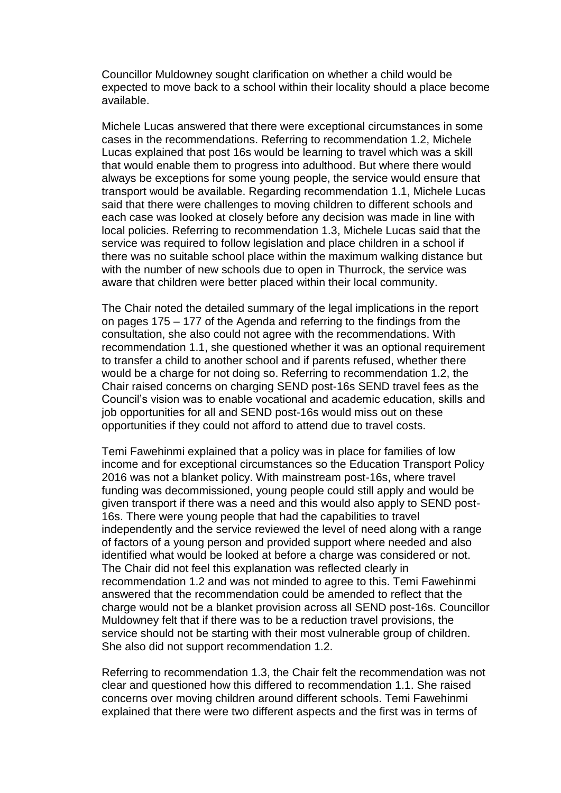Councillor Muldowney sought clarification on whether a child would be expected to move back to a school within their locality should a place become available.

Michele Lucas answered that there were exceptional circumstances in some cases in the recommendations. Referring to recommendation 1.2, Michele Lucas explained that post 16s would be learning to travel which was a skill that would enable them to progress into adulthood. But where there would always be exceptions for some young people, the service would ensure that transport would be available. Regarding recommendation 1.1, Michele Lucas said that there were challenges to moving children to different schools and each case was looked at closely before any decision was made in line with local policies. Referring to recommendation 1.3, Michele Lucas said that the service was required to follow legislation and place children in a school if there was no suitable school place within the maximum walking distance but with the number of new schools due to open in Thurrock, the service was aware that children were better placed within their local community.

The Chair noted the detailed summary of the legal implications in the report on pages 175 – 177 of the Agenda and referring to the findings from the consultation, she also could not agree with the recommendations. With recommendation 1.1, she questioned whether it was an optional requirement to transfer a child to another school and if parents refused, whether there would be a charge for not doing so. Referring to recommendation 1.2, the Chair raised concerns on charging SEND post-16s SEND travel fees as the Council's vision was to enable vocational and academic education, skills and job opportunities for all and SEND post-16s would miss out on these opportunities if they could not afford to attend due to travel costs.

Temi Fawehinmi explained that a policy was in place for families of low income and for exceptional circumstances so the Education Transport Policy 2016 was not a blanket policy. With mainstream post-16s, where travel funding was decommissioned, young people could still apply and would be given transport if there was a need and this would also apply to SEND post-16s. There were young people that had the capabilities to travel independently and the service reviewed the level of need along with a range of factors of a young person and provided support where needed and also identified what would be looked at before a charge was considered or not. The Chair did not feel this explanation was reflected clearly in recommendation 1.2 and was not minded to agree to this. Temi Fawehinmi answered that the recommendation could be amended to reflect that the charge would not be a blanket provision across all SEND post-16s. Councillor Muldowney felt that if there was to be a reduction travel provisions, the service should not be starting with their most vulnerable group of children. She also did not support recommendation 1.2.

Referring to recommendation 1.3, the Chair felt the recommendation was not clear and questioned how this differed to recommendation 1.1. She raised concerns over moving children around different schools. Temi Fawehinmi explained that there were two different aspects and the first was in terms of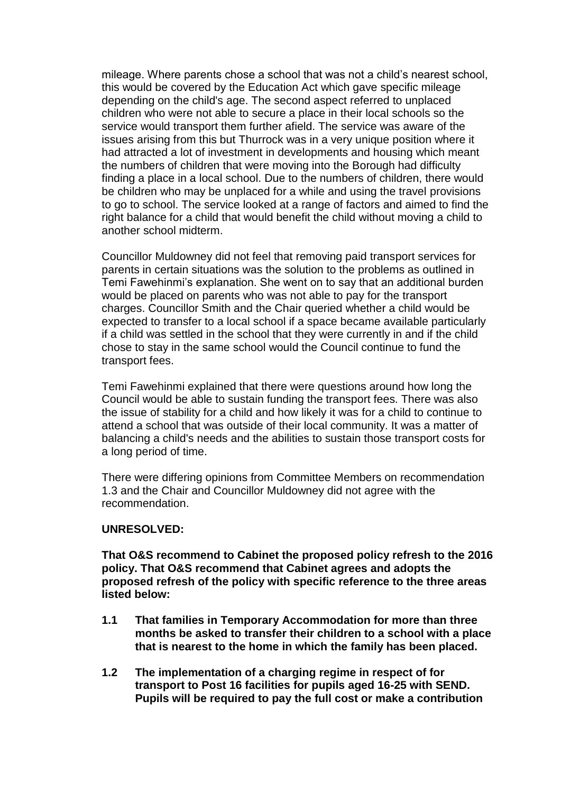mileage. Where parents chose a school that was not a child's nearest school, this would be covered by the Education Act which gave specific mileage depending on the child's age. The second aspect referred to unplaced children who were not able to secure a place in their local schools so the service would transport them further afield. The service was aware of the issues arising from this but Thurrock was in a very unique position where it had attracted a lot of investment in developments and housing which meant the numbers of children that were moving into the Borough had difficulty finding a place in a local school. Due to the numbers of children, there would be children who may be unplaced for a while and using the travel provisions to go to school. The service looked at a range of factors and aimed to find the right balance for a child that would benefit the child without moving a child to another school midterm.

Councillor Muldowney did not feel that removing paid transport services for parents in certain situations was the solution to the problems as outlined in Temi Fawehinmi's explanation. She went on to say that an additional burden would be placed on parents who was not able to pay for the transport charges. Councillor Smith and the Chair queried whether a child would be expected to transfer to a local school if a space became available particularly if a child was settled in the school that they were currently in and if the child chose to stay in the same school would the Council continue to fund the transport fees.

Temi Fawehinmi explained that there were questions around how long the Council would be able to sustain funding the transport fees. There was also the issue of stability for a child and how likely it was for a child to continue to attend a school that was outside of their local community. It was a matter of balancing a child's needs and the abilities to sustain those transport costs for a long period of time.

There were differing opinions from Committee Members on recommendation 1.3 and the Chair and Councillor Muldowney did not agree with the recommendation.

#### **UNRESOLVED:**

**That O&S recommend to Cabinet the proposed policy refresh to the 2016 policy. That O&S recommend that Cabinet agrees and adopts the proposed refresh of the policy with specific reference to the three areas listed below:**

- **1.1 That families in Temporary Accommodation for more than three months be asked to transfer their children to a school with a place that is nearest to the home in which the family has been placed.**
- **1.2 The implementation of a charging regime in respect of for transport to Post 16 facilities for pupils aged 16-25 with SEND. Pupils will be required to pay the full cost or make a contribution**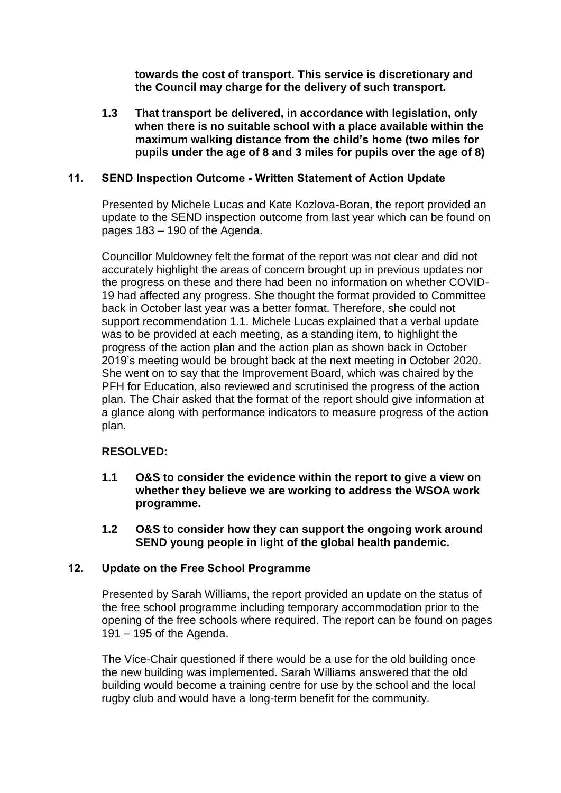**towards the cost of transport. This service is discretionary and the Council may charge for the delivery of such transport.**

**1.3 That transport be delivered, in accordance with legislation, only when there is no suitable school with a place available within the maximum walking distance from the child's home (two miles for pupils under the age of 8 and 3 miles for pupils over the age of 8)**

## **11. SEND Inspection Outcome - Written Statement of Action Update**

Presented by Michele Lucas and Kate Kozlova-Boran, the report provided an update to the SEND inspection outcome from last year which can be found on pages 183 – 190 of the Agenda.

Councillor Muldowney felt the format of the report was not clear and did not accurately highlight the areas of concern brought up in previous updates nor the progress on these and there had been no information on whether COVID-19 had affected any progress. She thought the format provided to Committee back in October last year was a better format. Therefore, she could not support recommendation 1.1. Michele Lucas explained that a verbal update was to be provided at each meeting, as a standing item, to highlight the progress of the action plan and the action plan as shown back in October 2019's meeting would be brought back at the next meeting in October 2020. She went on to say that the Improvement Board, which was chaired by the PFH for Education, also reviewed and scrutinised the progress of the action plan. The Chair asked that the format of the report should give information at a glance along with performance indicators to measure progress of the action plan.

## **RESOLVED:**

- **1.1 O&S to consider the evidence within the report to give a view on whether they believe we are working to address the WSOA work programme.**
- **1.2 O&S to consider how they can support the ongoing work around SEND young people in light of the global health pandemic.**

## **12. Update on the Free School Programme**

Presented by Sarah Williams, the report provided an update on the status of the free school programme including temporary accommodation prior to the opening of the free schools where required. The report can be found on pages 191 – 195 of the Agenda.

The Vice-Chair questioned if there would be a use for the old building once the new building was implemented. Sarah Williams answered that the old building would become a training centre for use by the school and the local rugby club and would have a long-term benefit for the community.